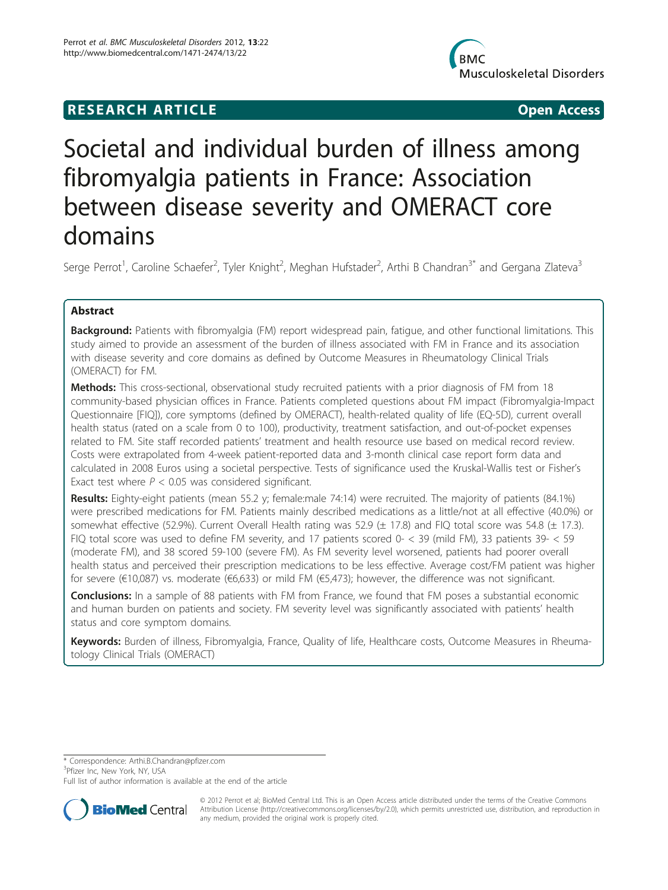## **RESEARCH ARTICLE Example 2018 12:00 Open Access**



# Societal and individual burden of illness among fibromyalgia patients in France: Association between disease severity and OMERACT core domains

Serge Perrot<sup>1</sup>, Caroline Schaefer<sup>2</sup>, Tyler Knight<sup>2</sup>, Meghan Hufstader<sup>2</sup>, Arthi B Chandran<sup>3\*</sup> and Gergana Zlateva<sup>3</sup>

## Abstract

Background: Patients with fibromyalgia (FM) report widespread pain, fatigue, and other functional limitations. This study aimed to provide an assessment of the burden of illness associated with FM in France and its association with disease severity and core domains as defined by Outcome Measures in Rheumatology Clinical Trials (OMERACT) for FM.

Methods: This cross-sectional, observational study recruited patients with a prior diagnosis of FM from 18 community-based physician offices in France. Patients completed questions about FM impact (Fibromyalgia-Impact Questionnaire [FIQ]), core symptoms (defined by OMERACT), health-related quality of life (EQ-5D), current overall health status (rated on a scale from 0 to 100), productivity, treatment satisfaction, and out-of-pocket expenses related to FM. Site staff recorded patients' treatment and health resource use based on medical record review. Costs were extrapolated from 4-week patient-reported data and 3-month clinical case report form data and calculated in 2008 Euros using a societal perspective. Tests of significance used the Kruskal-Wallis test or Fisher's Exact test where  $P < 0.05$  was considered significant.

Results: Eighty-eight patients (mean 55.2 y; female:male 74:14) were recruited. The majority of patients (84.1%) were prescribed medications for FM. Patients mainly described medications as a little/not at all effective (40.0%) or somewhat effective (52.9%). Current Overall Health rating was 52.9 ( $\pm$  17.8) and FIQ total score was 54.8 ( $\pm$  17.3). FIQ total score was used to define FM severity, and 17 patients scored 0- < 39 (mild FM), 33 patients 39- < 59 (moderate FM), and 38 scored 59-100 (severe FM). As FM severity level worsened, patients had poorer overall health status and perceived their prescription medications to be less effective. Average cost/FM patient was higher for severe (€10,087) vs. moderate (€6,633) or mild FM (€5,473); however, the difference was not significant.

**Conclusions:** In a sample of 88 patients with FM from France, we found that FM poses a substantial economic and human burden on patients and society. FM severity level was significantly associated with patients' health status and core symptom domains.

Keywords: Burden of illness, Fibromyalgia, France, Quality of life, Healthcare costs, Outcome Measures in Rheumatology Clinical Trials (OMERACT)

\* Correspondence: [Arthi.B.Chandran@pfizer.com](mailto:Arthi.B.Chandran@pfizer.com)

<sup>3</sup>Pfizer Inc, New York, NY, USA

Full list of author information is available at the end of the article



© 2012 Perrot et al; BioMed Central Ltd. This is an Open Access article distributed under the terms of the Creative Commons Attribution License [\(http://creativecommons.org/licenses/by/2.0](http://creativecommons.org/licenses/by/2.0)), which permits unrestricted use, distribution, and reproduction in any medium, provided the original work is properly cited.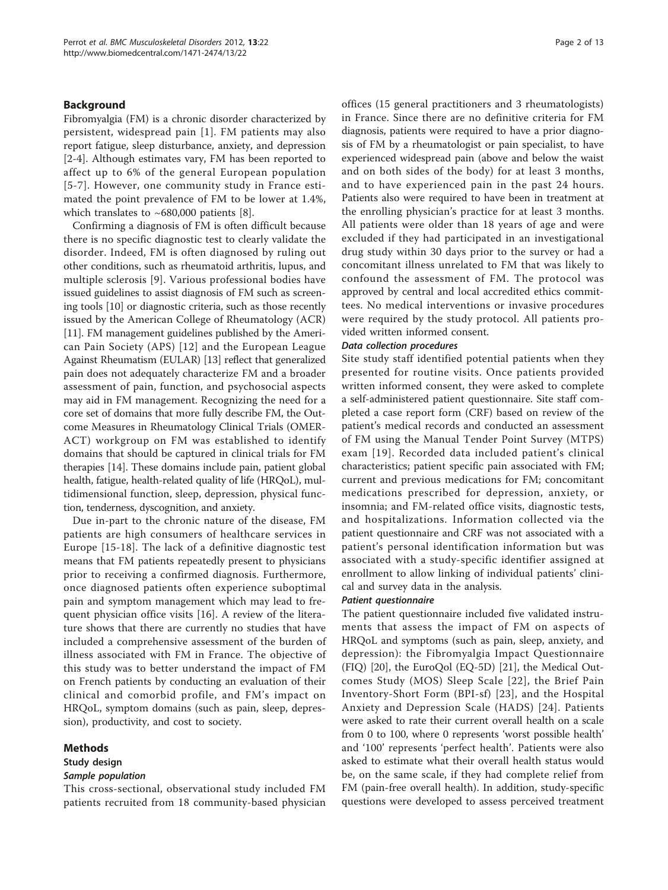## Background

Fibromyalgia (FM) is a chronic disorder characterized by persistent, widespread pain [[1](#page-11-0)]. FM patients may also report fatigue, sleep disturbance, anxiety, and depression [[2-4](#page-11-0)]. Although estimates vary, FM has been reported to affect up to 6% of the general European population [[5](#page-12-0)-[7](#page-12-0)]. However, one community study in France estimated the point prevalence of FM to be lower at 1.4%, which translates to  $~1680,000$  $~1680,000$  $~1680,000$  patients [8].

Confirming a diagnosis of FM is often difficult because there is no specific diagnostic test to clearly validate the disorder. Indeed, FM is often diagnosed by ruling out other conditions, such as rheumatoid arthritis, lupus, and multiple sclerosis [\[9](#page-12-0)]. Various professional bodies have issued guidelines to assist diagnosis of FM such as screening tools [[10](#page-12-0)] or diagnostic criteria, such as those recently issued by the American College of Rheumatology (ACR) [[11\]](#page-12-0). FM management guidelines published by the American Pain Society (APS) [[12](#page-12-0)] and the European League Against Rheumatism (EULAR) [[13](#page-12-0)] reflect that generalized pain does not adequately characterize FM and a broader assessment of pain, function, and psychosocial aspects may aid in FM management. Recognizing the need for a core set of domains that more fully describe FM, the Outcome Measures in Rheumatology Clinical Trials (OMER-ACT) workgroup on FM was established to identify domains that should be captured in clinical trials for FM therapies [\[14\]](#page-12-0). These domains include pain, patient global health, fatigue, health-related quality of life (HRQoL), multidimensional function, sleep, depression, physical function, tenderness, dyscognition, and anxiety.

Due in-part to the chronic nature of the disease, FM patients are high consumers of healthcare services in Europe [[15-18\]](#page-12-0). The lack of a definitive diagnostic test means that FM patients repeatedly present to physicians prior to receiving a confirmed diagnosis. Furthermore, once diagnosed patients often experience suboptimal pain and symptom management which may lead to frequent physician office visits [[16\]](#page-12-0). A review of the literature shows that there are currently no studies that have included a comprehensive assessment of the burden of illness associated with FM in France. The objective of this study was to better understand the impact of FM on French patients by conducting an evaluation of their clinical and comorbid profile, and FM's impact on HRQoL, symptom domains (such as pain, sleep, depression), productivity, and cost to society.

#### Methods

## Study design

## Sample population

This cross-sectional, observational study included FM patients recruited from 18 community-based physician offices (15 general practitioners and 3 rheumatologists) in France. Since there are no definitive criteria for FM diagnosis, patients were required to have a prior diagnosis of FM by a rheumatologist or pain specialist, to have experienced widespread pain (above and below the waist and on both sides of the body) for at least 3 months, and to have experienced pain in the past 24 hours. Patients also were required to have been in treatment at the enrolling physician's practice for at least 3 months. All patients were older than 18 years of age and were excluded if they had participated in an investigational drug study within 30 days prior to the survey or had a concomitant illness unrelated to FM that was likely to confound the assessment of FM. The protocol was approved by central and local accredited ethics committees. No medical interventions or invasive procedures were required by the study protocol. All patients provided written informed consent.

## Data collection procedures

Site study staff identified potential patients when they presented for routine visits. Once patients provided written informed consent, they were asked to complete a self-administered patient questionnaire. Site staff completed a case report form (CRF) based on review of the patient's medical records and conducted an assessment of FM using the Manual Tender Point Survey (MTPS) exam [[19\]](#page-12-0). Recorded data included patient's clinical characteristics; patient specific pain associated with FM; current and previous medications for FM; concomitant medications prescribed for depression, anxiety, or insomnia; and FM-related office visits, diagnostic tests, and hospitalizations. Information collected via the patient questionnaire and CRF was not associated with a patient's personal identification information but was associated with a study-specific identifier assigned at enrollment to allow linking of individual patients' clinical and survey data in the analysis.

## Patient questionnaire

The patient questionnaire included five validated instruments that assess the impact of FM on aspects of HRQoL and symptoms (such as pain, sleep, anxiety, and depression): the Fibromyalgia Impact Questionnaire (FIQ) [[20](#page-12-0)], the EuroQol (EQ-5D) [\[21](#page-12-0)], the Medical Outcomes Study (MOS) Sleep Scale [[22\]](#page-12-0), the Brief Pain Inventory-Short Form (BPI-sf) [\[23\]](#page-12-0), and the Hospital Anxiety and Depression Scale (HADS) [\[24](#page-12-0)]. Patients were asked to rate their current overall health on a scale from 0 to 100, where 0 represents 'worst possible health' and '100' represents 'perfect health'. Patients were also asked to estimate what their overall health status would be, on the same scale, if they had complete relief from FM (pain-free overall health). In addition, study-specific questions were developed to assess perceived treatment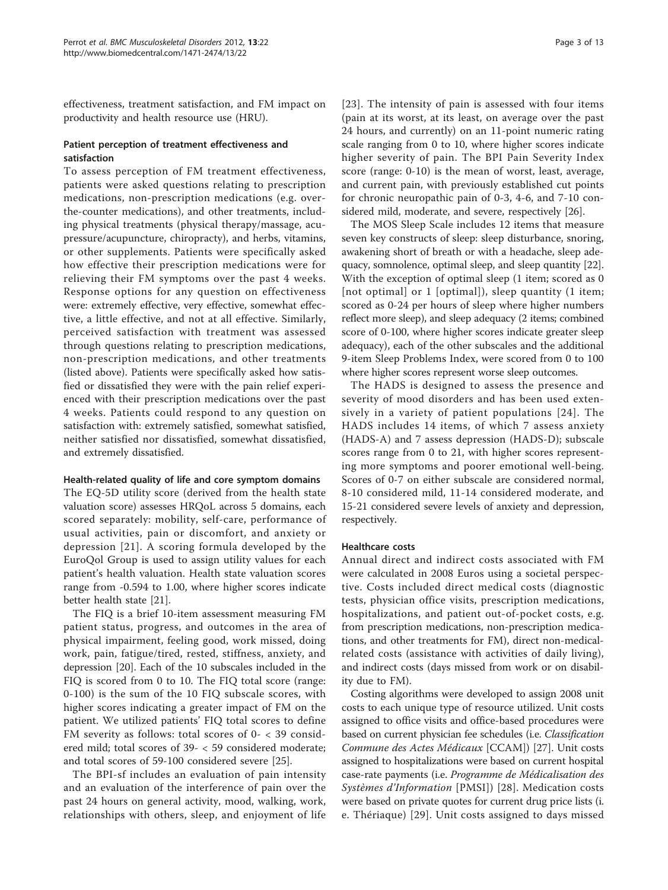effectiveness, treatment satisfaction, and FM impact on productivity and health resource use (HRU).

## Patient perception of treatment effectiveness and satisfaction

To assess perception of FM treatment effectiveness, patients were asked questions relating to prescription medications, non-prescription medications (e.g. overthe-counter medications), and other treatments, including physical treatments (physical therapy/massage, acupressure/acupuncture, chiropracty), and herbs, vitamins, or other supplements. Patients were specifically asked how effective their prescription medications were for relieving their FM symptoms over the past 4 weeks. Response options for any question on effectiveness were: extremely effective, very effective, somewhat effective, a little effective, and not at all effective. Similarly, perceived satisfaction with treatment was assessed through questions relating to prescription medications, non-prescription medications, and other treatments (listed above). Patients were specifically asked how satisfied or dissatisfied they were with the pain relief experienced with their prescription medications over the past 4 weeks. Patients could respond to any question on satisfaction with: extremely satisfied, somewhat satisfied, neither satisfied nor dissatisfied, somewhat dissatisfied, and extremely dissatisfied.

## Health-related quality of life and core symptom domains

The EQ-5D utility score (derived from the health state valuation score) assesses HRQoL across 5 domains, each scored separately: mobility, self-care, performance of usual activities, pain or discomfort, and anxiety or depression [[21](#page-12-0)]. A scoring formula developed by the EuroQol Group is used to assign utility values for each patient's health valuation. Health state valuation scores range from -0.594 to 1.00, where higher scores indicate better health state [\[21](#page-12-0)].

The FIQ is a brief 10-item assessment measuring FM patient status, progress, and outcomes in the area of physical impairment, feeling good, work missed, doing work, pain, fatigue/tired, rested, stiffness, anxiety, and depression [\[20](#page-12-0)]. Each of the 10 subscales included in the FIQ is scored from 0 to 10. The FIQ total score (range: 0-100) is the sum of the 10 FIQ subscale scores, with higher scores indicating a greater impact of FM on the patient. We utilized patients' FIQ total scores to define FM severity as follows: total scores of 0- < 39 considered mild; total scores of 39- < 59 considered moderate; and total scores of 59-100 considered severe [[25\]](#page-12-0).

The BPI-sf includes an evaluation of pain intensity and an evaluation of the interference of pain over the past 24 hours on general activity, mood, walking, work, relationships with others, sleep, and enjoyment of life

[[23](#page-12-0)]. The intensity of pain is assessed with four items (pain at its worst, at its least, on average over the past 24 hours, and currently) on an 11-point numeric rating scale ranging from 0 to 10, where higher scores indicate higher severity of pain. The BPI Pain Severity Index score (range: 0-10) is the mean of worst, least, average, and current pain, with previously established cut points for chronic neuropathic pain of 0-3, 4-6, and 7-10 considered mild, moderate, and severe, respectively [[26\]](#page-12-0).

The MOS Sleep Scale includes 12 items that measure seven key constructs of sleep: sleep disturbance, snoring, awakening short of breath or with a headache, sleep adequacy, somnolence, optimal sleep, and sleep quantity [[22](#page-12-0)]. With the exception of optimal sleep (1 item; scored as 0 [not optimal] or 1 [optimal]), sleep quantity (1 item; scored as 0-24 per hours of sleep where higher numbers reflect more sleep), and sleep adequacy (2 items; combined score of 0-100, where higher scores indicate greater sleep adequacy), each of the other subscales and the additional 9-item Sleep Problems Index, were scored from 0 to 100 where higher scores represent worse sleep outcomes.

The HADS is designed to assess the presence and severity of mood disorders and has been used extensively in a variety of patient populations [[24\]](#page-12-0). The HADS includes 14 items, of which 7 assess anxiety (HADS-A) and 7 assess depression (HADS-D); subscale scores range from 0 to 21, with higher scores representing more symptoms and poorer emotional well-being. Scores of 0-7 on either subscale are considered normal, 8-10 considered mild, 11-14 considered moderate, and 15-21 considered severe levels of anxiety and depression, respectively.

## Healthcare costs

Annual direct and indirect costs associated with FM were calculated in 2008 Euros using a societal perspective. Costs included direct medical costs (diagnostic tests, physician office visits, prescription medications, hospitalizations, and patient out-of-pocket costs, e.g. from prescription medications, non-prescription medications, and other treatments for FM), direct non-medicalrelated costs (assistance with activities of daily living), and indirect costs (days missed from work or on disability due to FM).

Costing algorithms were developed to assign 2008 unit costs to each unique type of resource utilized. Unit costs assigned to office visits and office-based procedures were based on current physician fee schedules (i.e. Classification Commune des Actes Médicaux [CCAM]) [[27\]](#page-12-0). Unit costs assigned to hospitalizations were based on current hospital case-rate payments (i.e. Programme de Médicalisation des Systèmes d'Information [PMSI]) [[28](#page-12-0)]. Medication costs were based on private quotes for current drug price lists (i. e. Thériaque) [[29\]](#page-12-0). Unit costs assigned to days missed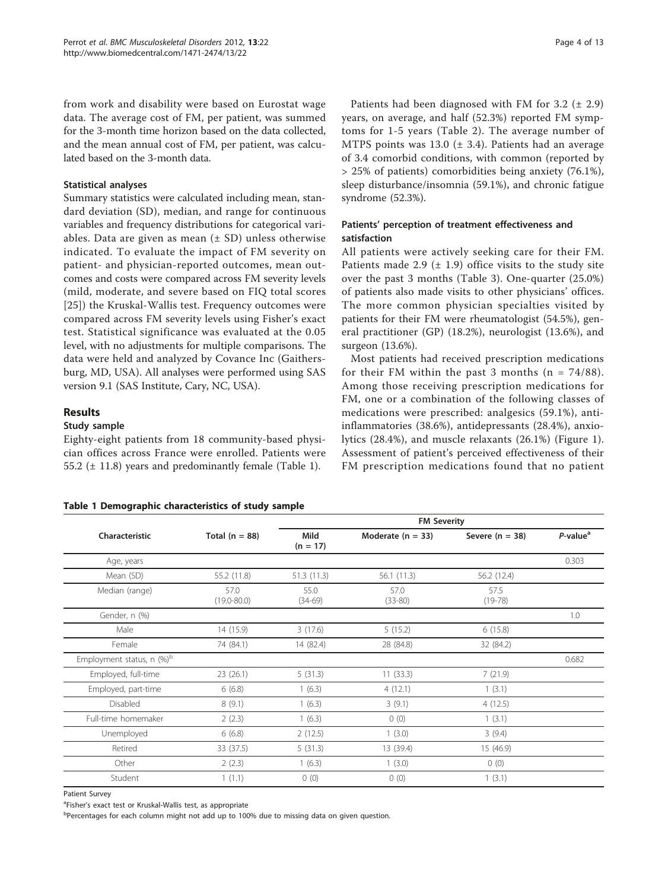<span id="page-3-0"></span>from work and disability were based on Eurostat wage data. The average cost of FM, per patient, was summed for the 3-month time horizon based on the data collected, and the mean annual cost of FM, per patient, was calculated based on the 3-month data.

## Statistical analyses

Summary statistics were calculated including mean, standard deviation (SD), median, and range for continuous variables and frequency distributions for categorical variables. Data are given as mean  $(± SD)$  unless otherwise indicated. To evaluate the impact of FM severity on patient- and physician-reported outcomes, mean outcomes and costs were compared across FM severity levels (mild, moderate, and severe based on FIQ total scores [[25](#page-12-0)]) the Kruskal-Wallis test. Frequency outcomes were compared across FM severity levels using Fisher's exact test. Statistical significance was evaluated at the 0.05 level, with no adjustments for multiple comparisons. The data were held and analyzed by Covance Inc (Gaithersburg, MD, USA). All analyses were performed using SAS version 9.1 (SAS Institute, Cary, NC, USA).

## Results

## Study sample

Eighty-eight patients from 18 community-based physician offices across France were enrolled. Patients were 55.2 (± 11.8) years and predominantly female (Table 1).

## Table 1 Demographic characteristics of study sample

Patients had been diagnosed with FM for  $3.2$  ( $\pm$  2.9) years, on average, and half (52.3%) reported FM symptoms for 1-5 years (Table [2](#page-4-0)). The average number of MTPS points was 13.0 ( $\pm$  3.4). Patients had an average of 3.4 comorbid conditions, with common (reported by > 25% of patients) comorbidities being anxiety (76.1%), sleep disturbance/insomnia (59.1%), and chronic fatigue syndrome (52.3%).

## Patients' perception of treatment effectiveness and satisfaction

All patients were actively seeking care for their FM. Patients made 2.9  $(\pm 1.9)$  office visits to the study site over the past 3 months (Table [3\)](#page-5-0). One-quarter (25.0%) of patients also made visits to other physicians' offices. The more common physician specialties visited by patients for their FM were rheumatologist (54.5%), general practitioner (GP) (18.2%), neurologist (13.6%), and surgeon (13.6%).

Most patients had received prescription medications for their FM within the past 3 months ( $n = 74/88$ ). Among those receiving prescription medications for FM, one or a combination of the following classes of medications were prescribed: analgesics (59.1%), antiinflammatories (38.6%), antidepressants (28.4%), anxiolytics (28.4%), and muscle relaxants (26.1%) (Figure [1](#page-5-0)). Assessment of patient's perceived effectiveness of their FM prescription medications found that no patient

|                                         |                         |                    | <b>FM Severity</b>    |                   |                      |  |  |  |  |
|-----------------------------------------|-------------------------|--------------------|-----------------------|-------------------|----------------------|--|--|--|--|
| Characteristic                          | Total $(n = 88)$        | Mild<br>$(n = 17)$ | Moderate ( $n = 33$ ) | Severe $(n = 38)$ | P-value <sup>a</sup> |  |  |  |  |
| Age, years                              |                         |                    |                       |                   | 0.303                |  |  |  |  |
| Mean (SD)                               | 55.2 (11.8)             | 51.3 (11.3)        | 56.1(11.3)            | 56.2 (12.4)       |                      |  |  |  |  |
| Median (range)                          | 57.0<br>$(19.0 - 80.0)$ | 55.0<br>$(34-69)$  | 57.0<br>$(33 - 80)$   | 57.5<br>$(19-78)$ |                      |  |  |  |  |
| Gender, n (%)                           |                         |                    |                       |                   | 1.0                  |  |  |  |  |
| Male                                    | 14 (15.9)               | 3(17.6)            | 5(15.2)               | 6(15.8)           |                      |  |  |  |  |
| Female                                  | 74 (84.1)               | 14 (82.4)          | 28 (84.8)             | 32 (84.2)         |                      |  |  |  |  |
| Employment status, $n$ (%) <sup>b</sup> |                         |                    |                       |                   | 0.682                |  |  |  |  |
| Employed, full-time                     | 23(26.1)                | 5(31.3)            | 11(33.3)              | 7(21.9)           |                      |  |  |  |  |
| Employed, part-time                     | 6(6.8)                  | 1(6.3)             | 4(12.1)               | 1(3.1)            |                      |  |  |  |  |
| Disabled                                | 8(9.1)                  | 1(6.3)             | 3(9.1)                | 4(12.5)           |                      |  |  |  |  |
| Full-time homemaker                     | 2(2.3)                  | 1(6.3)             | 0(0)                  | 1(3.1)            |                      |  |  |  |  |
| Unemployed                              | 6(6.8)                  | 2(12.5)            | 1(3.0)                | 3(9.4)            |                      |  |  |  |  |
| Retired                                 | 33 (37.5)               | 5(31.3)            | 13 (39.4)             | 15 (46.9)         |                      |  |  |  |  |
| Other                                   | 2(2.3)                  | 1(6.3)             | 1(3.0)                | 0(0)              |                      |  |  |  |  |
| Student                                 | 1(1.1)                  | 0(0)               | 0(0)                  | 1(3.1)            |                      |  |  |  |  |

Patient Survey

<sup>a</sup>Fisher's exact test or Kruskal-Wallis test, as appropriate

b<br>Percentages for each column might not add up to 100% due to missing data on given question.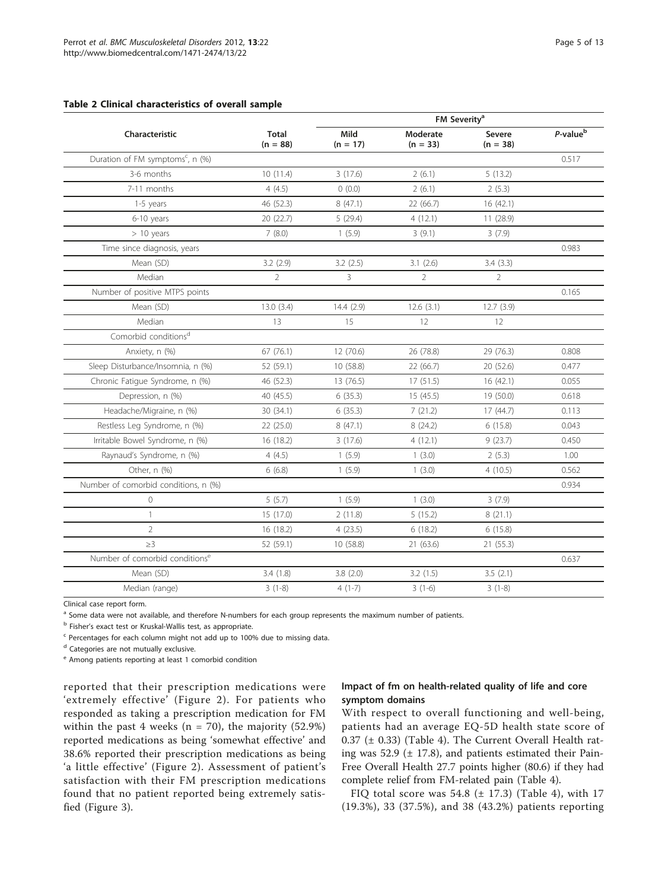## <span id="page-4-0"></span>Table 2 Clinical characteristics of overall sample

|                                              |                            | FM Severity <sup>a</sup> |                        |                      |                      |  |  |  |
|----------------------------------------------|----------------------------|--------------------------|------------------------|----------------------|----------------------|--|--|--|
| Characteristic                               | <b>Total</b><br>$(n = 88)$ | Mild<br>$(n = 17)$       | Moderate<br>$(n = 33)$ | Severe<br>$(n = 38)$ | P-value <sup>b</sup> |  |  |  |
| Duration of FM symptoms <sup>c</sup> , n (%) |                            |                          |                        |                      | 0.517                |  |  |  |
| 3-6 months                                   | 10(11.4)                   | 3(17.6)                  | 2(6.1)                 | 5(13.2)              |                      |  |  |  |
| 7-11 months                                  | 4(4.5)                     | 0(0.0)                   | 2(6.1)                 | 2(5.3)               |                      |  |  |  |
| 1-5 years                                    | 46 (52.3)                  | 8(47.1)                  | 22 (66.7)              | 16(42.1)             |                      |  |  |  |
| 6-10 years                                   | 20 (22.7)                  | 5(29.4)                  | 4(12.1)                | 11 (28.9)            |                      |  |  |  |
| $> 10$ years                                 | 7(8.0)                     | 1(5.9)                   | 3(9.1)                 | 3(7.9)               |                      |  |  |  |
| Time since diagnosis, years                  |                            |                          |                        |                      | 0.983                |  |  |  |
| Mean (SD)                                    | 3.2(2.9)                   | 3.2(2.5)                 | 3.1(2.6)               | 3.4(3.3)             |                      |  |  |  |
| Median                                       | $\overline{2}$             | 3                        | $\overline{2}$         | $\overline{2}$       |                      |  |  |  |
| Number of positive MTPS points               |                            |                          |                        |                      | 0.165                |  |  |  |
| Mean (SD)                                    | 13.0(3.4)                  | 14.4(2.9)                | 12.6(3.1)              | 12.7(3.9)            |                      |  |  |  |
| Median                                       | 13                         | 15                       | 12                     | 12                   |                      |  |  |  |
| Comorbid conditions <sup>d</sup>             |                            |                          |                        |                      |                      |  |  |  |
| Anxiety, n (%)                               | 67(76.1)                   | 12 (70.6)                | 26 (78.8)              | 29 (76.3)            | 0.808                |  |  |  |
| Sleep Disturbance/Insomnia, n (%)            | 52 (59.1)                  | 10 (58.8)                | 22 (66.7)              | 20 (52.6)            | 0.477                |  |  |  |
| Chronic Fatigue Syndrome, n (%)              | 46 (52.3)                  | 13(76.5)                 | 17(51.5)               | 16 (42.1)            | 0.055                |  |  |  |
| Depression, n (%)                            | 40 (45.5)                  | 6(35.3)                  | 15 (45.5)              | 19 (50.0)            | 0.618                |  |  |  |
| Headache/Migraine, n (%)                     | 30 (34.1)                  | 6(35.3)                  | 7(21.2)                | 17 (44.7)            | 0.113                |  |  |  |
| Restless Leg Syndrome, n (%)                 | 22 (25.0)                  | 8(47.1)                  | 8(24.2)                | 6(15.8)              | 0.043                |  |  |  |
| Irritable Bowel Syndrome, n (%)              | 16 (18.2)                  | 3(17.6)                  | 4(12.1)                | 9(23.7)              | 0.450                |  |  |  |
| Raynaud's Syndrome, n (%)                    | 4(4.5)                     | 1(5.9)                   | 1(3.0)                 | 2(5.3)               | 1.00                 |  |  |  |
| Other, n (%)                                 | 6(6.8)                     | 1(5.9)                   | 1(3.0)                 | 4(10.5)              | 0.562                |  |  |  |
| Number of comorbid conditions, n (%)         |                            |                          |                        |                      | 0.934                |  |  |  |
| $\overline{0}$                               | 5(5.7)                     | 1(5.9)                   | 1(3.0)                 | 3(7.9)               |                      |  |  |  |
| $\mathbf{1}$                                 | 15 (17.0)                  | 2(11.8)                  | 5(15.2)                | 8(21.1)              |                      |  |  |  |
| $\overline{2}$                               | 16 (18.2)                  | 4(23.5)                  | 6(18.2)                | 6(15.8)              |                      |  |  |  |
| $\geq$ 3                                     | 52 (59.1)                  | 10(58.8)                 | 21 (63.6)              | 21 (55.3)            |                      |  |  |  |
| Number of comorbid conditions <sup>e</sup>   |                            |                          |                        |                      | 0.637                |  |  |  |
| Mean (SD)                                    | 3.4(1.8)                   | 3.8(2.0)                 | 3.2(1.5)               | 3.5(2.1)             |                      |  |  |  |
| Median (range)                               | $3(1-8)$                   | $4(1-7)$                 | $3(1-6)$               | $3(1-8)$             |                      |  |  |  |

Clinical case report form.

<sup>a</sup> Some data were not available, and therefore N-numbers for each group represents the maximum number of patients.

<sup>b</sup> Fisher's exact test or Kruskal-Wallis test, as appropriate.

<sup>c</sup> Percentages for each column might not add up to 100% due to missing data.

<sup>d</sup> Categories are not mutually exclusive.

<sup>e</sup> Among patients reporting at least 1 comorbid condition

reported that their prescription medications were 'extremely effective' (Figure [2\)](#page-6-0). For patients who responded as taking a prescription medication for FM within the past 4 weeks ( $n = 70$ ), the majority (52.9%) reported medications as being 'somewhat effective' and 38.6% reported their prescription medications as being 'a little effective' (Figure [2\)](#page-6-0). Assessment of patient's satisfaction with their FM prescription medications found that no patient reported being extremely satisfied (Figure [3](#page-6-0)).

## Impact of fm on health-related quality of life and core symptom domains

With respect to overall functioning and well-being, patients had an average EQ-5D health state score of  $0.37$  ( $\pm$  0.33) (Table [4](#page-7-0)). The Current Overall Health rating was 52.9 ( $\pm$  17.8), and patients estimated their Pain-Free Overall Health 27.7 points higher (80.6) if they had complete relief from FM-related pain (Table [4](#page-7-0)).

FIQ total score was  $54.8$  ( $\pm$  17.3) (Table [4\)](#page-7-0), with 17 (19.3%), 33 (37.5%), and 38 (43.2%) patients reporting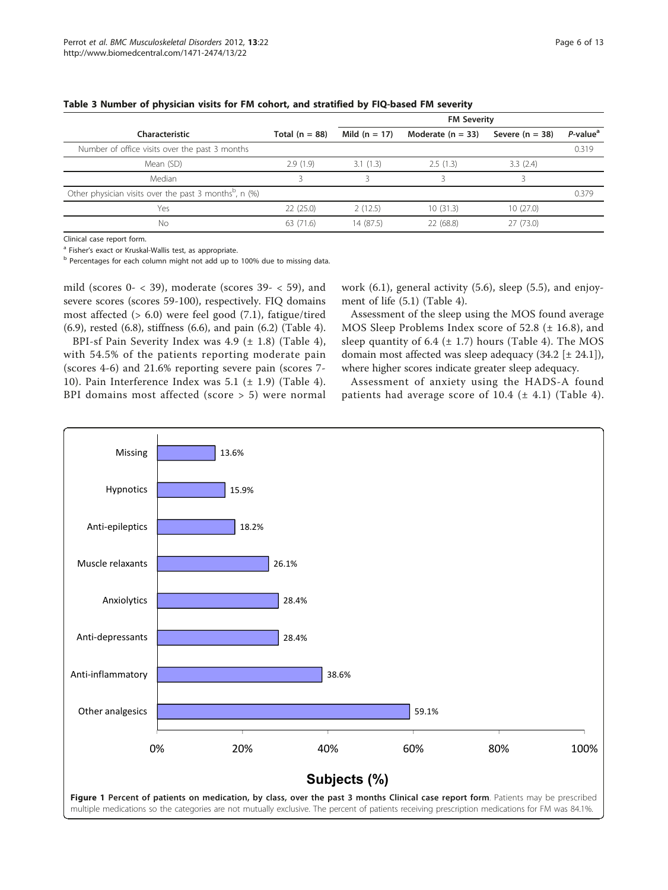|                                                                       |                  | <b>FM Severity</b> |                         |                   |                         |  |  |
|-----------------------------------------------------------------------|------------------|--------------------|-------------------------|-------------------|-------------------------|--|--|
| Characteristic                                                        | Total $(n = 88)$ | Mild $(n = 17)$    | Moderate $(n = 33)$     | Severe $(n = 38)$ | $P$ -value <sup>a</sup> |  |  |
| Number of office visits over the past 3 months                        |                  |                    |                         |                   | 0.319                   |  |  |
| Mean (SD)                                                             | 2.9(1.9)         | 3.1(1.3)           | 2.5(1.3)                | 3.3(2.4)          |                         |  |  |
| Median                                                                |                  |                    | $\overline{\mathbf{z}}$ |                   |                         |  |  |
| Other physician visits over the past 3 months <sup>b</sup> , n $(\%)$ |                  |                    |                         |                   | 0.379                   |  |  |
| Yes                                                                   | 22(25.0)         | 2(12.5)            | 10(31.3)                | 10(27.0)          |                         |  |  |
| No                                                                    | 63(71.6)         | 14 (87.5)          | 22 (68.8)               | 27(73.0)          |                         |  |  |

#### <span id="page-5-0"></span>Table 3 Number of physician visits for FM cohort, and stratified by FIQ-based FM severity

Clinical case report form.

<sup>a</sup> Fisher's exact or Kruskal-Wallis test, as appropriate.

b Percentages for each column might not add up to 100% due to missing data.

mild (scores 0- < 39), moderate (scores 39- < 59), and severe scores (scores 59-100), respectively. FIQ domains most affected  $(> 6.0)$  were feel good  $(7.1)$ , fatigue/tired (6.9), rested (6.8), stiffness (6.6), and pain (6.2) (Table [4](#page-7-0)).

BPI-sf Pain Severity Index was 4.9 (± 1.8) (Table [4](#page-7-0)), with 54.5% of the patients reporting moderate pain (scores 4-6) and 21.6% reporting severe pain (scores 7- 10). Pain Interference Index was 5.1  $(\pm 1.9)$  (Table [4\)](#page-7-0). BPI domains most affected (score > 5) were normal work (6.1), general activity (5.6), sleep (5.5), and enjoyment of life (5.1) (Table [4](#page-7-0)).

Assessment of the sleep using the MOS found average MOS Sleep Problems Index score of 52.8 (± 16.8), and sleep quantity of 6.4  $(\pm 1.7)$  hours (Table [4\)](#page-7-0). The MOS domain most affected was sleep adequacy  $(34.2 \pm 24.1)$ , where higher scores indicate greater sleep adequacy.

Assessment of anxiety using the HADS-A found patients had average score of 10.4  $(\pm 4.1)$  (Table [4\)](#page-7-0).

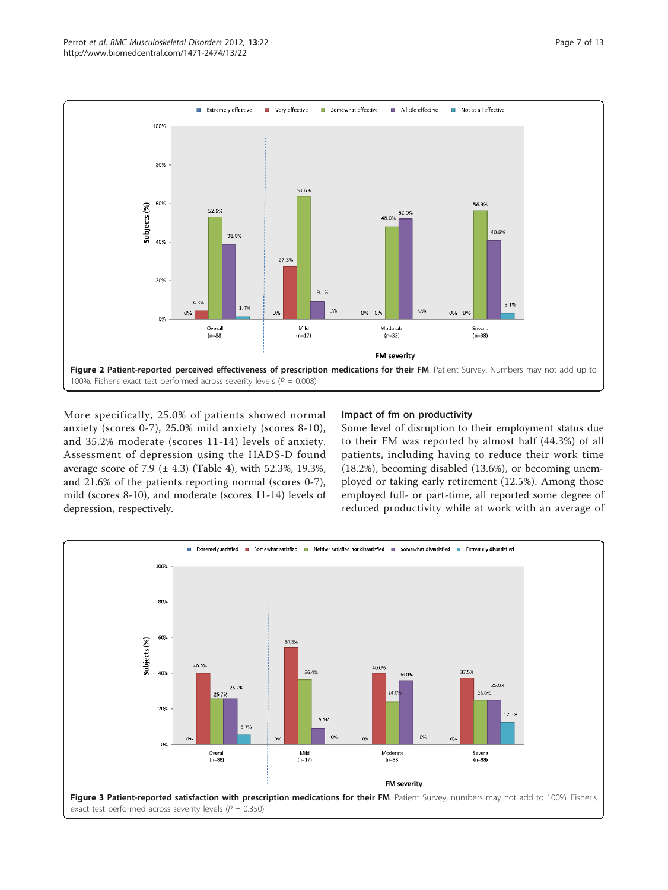<span id="page-6-0"></span>

More specifically, 25.0% of patients showed normal anxiety (scores 0-7), 25.0% mild anxiety (scores 8-10), and 35.2% moderate (scores 11-14) levels of anxiety. Assessment of depression using the HADS-D found average score of 7.9 ( $\pm$  [4](#page-7-0).3) (Table 4), with 52.3%, 19.3%, and 21.6% of the patients reporting normal (scores 0-7), mild (scores 8-10), and moderate (scores 11-14) levels of depression, respectively.

## Impact of fm on productivity

Some level of disruption to their employment status due to their FM was reported by almost half (44.3%) of all patients, including having to reduce their work time (18.2%), becoming disabled (13.6%), or becoming unemployed or taking early retirement (12.5%). Among those employed full- or part-time, all reported some degree of reduced productivity while at work with an average of

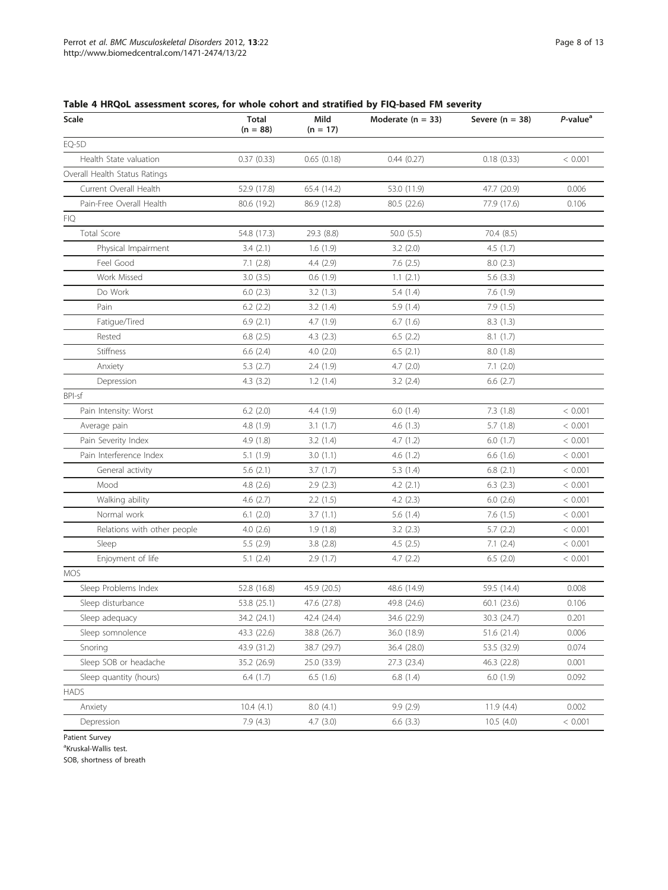| Scale                         | <b>Total</b><br>$(n = 88)$ | Mild<br>$(n = 17)$ | Moderate $(n = 33)$ | Severe $(n = 38)$ | $P$ -value <sup>a</sup> |
|-------------------------------|----------------------------|--------------------|---------------------|-------------------|-------------------------|
| EQ-5D                         |                            |                    |                     |                   |                         |
| Health State valuation        | 0.37(0.33)                 | 0.65(0.18)         | 0.44(0.27)          | 0.18(0.33)        | < 0.001                 |
| Overall Health Status Ratings |                            |                    |                     |                   |                         |
| Current Overall Health        | 52.9 (17.8)                | 65.4 (14.2)        | 53.0 (11.9)         | 47.7 (20.9)       | 0.006                   |
| Pain-Free Overall Health      | 80.6 (19.2)                | 86.9 (12.8)        | 80.5 (22.6)         | 77.9 (17.6)       | 0.106                   |
| FIQ                           |                            |                    |                     |                   |                         |
| Total Score                   | 54.8 (17.3)                | 29.3 (8.8)         | 50.0 (5.5)          | 70.4 (8.5)        |                         |
| Physical Impairment           | 3.4(2.1)                   | 1.6(1.9)           | 3.2(2.0)            | 4.5(1.7)          |                         |
| Feel Good                     | 7.1(2.8)                   | 4.4(2.9)           | 7.6(2.5)            | 8.0(2.3)          |                         |
| Work Missed                   | 3.0(3.5)                   | 0.6(1.9)           | 1.1(2.1)            | 5.6(3.3)          |                         |
| Do Work                       | 6.0(2.3)                   | 3.2(1.3)           | 5.4(1.4)            | 7.6(1.9)          |                         |
| Pain                          | 6.2(2.2)                   | 3.2(1.4)           | 5.9(1.4)            | 7.9(1.5)          |                         |
| Fatigue/Tired                 | 6.9(2.1)                   | 4.7(1.9)           | 6.7(1.6)            | 8.3(1.3)          |                         |
| Rested                        | 6.8(2.5)                   | 4.3(2.3)           | 6.5(2.2)            | 8.1(1.7)          |                         |
| Stiffness                     | 6.6(2.4)                   | 4.0(2.0)           | 6.5(2.1)            | 8.0 (1.8)         |                         |
| Anxiety                       | 5.3(2.7)                   | 2.4(1.9)           | 4.7(2.0)            | 7.1(2.0)          |                         |
| Depression                    | 4.3(3.2)                   | 1.2(1.4)           | 3.2(2.4)            | 6.6(2.7)          |                         |
| BPI-sf                        |                            |                    |                     |                   |                         |
| Pain Intensity: Worst         | $6.2$ $(2.0)$              | 4.4(1.9)           | 6.0(1.4)            | 7.3(1.8)          | < 0.001                 |
| Average pain                  | 4.8 (1.9)                  | 3.1(1.7)           | 4.6(1.3)            | 5.7(1.8)          | < 0.001                 |
| Pain Severity Index           | 4.9(1.8)                   | 3.2(1.4)           | 4.7(1.2)            | 6.0(1.7)          | < 0.001                 |
| Pain Interference Index       | 5.1(1.9)                   | 3.0(1.1)           | 4.6(1.2)            | 6.6(1.6)          | < 0.001                 |
| General activity              | 5.6(2.1)                   | 3.7(1.7)           | 5.3(1.4)            | 6.8(2.1)          | < 0.001                 |
| Mood                          | 4.8(2.6)                   | 2.9(2.3)           | 4.2(2.1)            | 6.3(2.3)          | < 0.001                 |
| Walking ability               | 4.6(2.7)                   | 2.2(1.5)           | 4.2(2.3)            | 6.0(2.6)          | < 0.001                 |
| Normal work                   | 6.1(2.0)                   | 3.7(1.1)           | 5.6(1.4)            | 7.6(1.5)          | < 0.001                 |
| Relations with other people   | 4.0(2.6)                   | 1.9(1.8)           | 3.2(2.3)            | 5.7(2.2)          | < 0.001                 |
| Sleep                         | 5.5 (2.9)                  | 3.8(2.8)           | 4.5(2.5)            | 7.1(2.4)          | < 0.001                 |
| Enjoyment of life             | 5.1(2.4)                   | 2.9(1.7)           | 4.7(2.2)            | 6.5(2.0)          | < 0.001                 |
| MOS                           |                            |                    |                     |                   |                         |
| Sleep Problems Index          | 52.8 (16.8)                | 45.9 (20.5)        | 48.6 (14.9)         | 59.5 (14.4)       | 0.008                   |
| Sleep disturbance             | 53.8 (25.1)                | 47.6 (27.8)        | 49.8 (24.6)         | 60.1 (23.6)       | 0.106                   |
| Sleep adequacy                | 34.2 (24.1)                | 42.4 (24.4)        | 34.6 (22.9)         | 30.3 (24.7)       | 0.201                   |
| Sleep somnolence              | 43.3 (22.6)                | 38.8 (26.7)        | 36.0 (18.9)         | 51.6 (21.4)       | 0.006                   |
| Snoring                       | 43.9 (31.2)                | 38.7 (29.7)        | 36.4 (28.0)         | 53.5 (32.9)       | 0.074                   |
| Sleep SOB or headache         | 35.2 (26.9)                | 25.0 (33.9)        | 27.3 (23.4)         | 46.3 (22.8)       | 0.001                   |
| Sleep quantity (hours)        | 6.4(1.7)                   | 6.5(1.6)           | 6.8(1.4)            | 6.0(1.9)          | 0.092                   |
| HADS                          |                            |                    |                     |                   |                         |
| Anxiety                       | 10.4(4.1)                  | 8.0(4.1)           | 9.9(2.9)            | 11.9(4.4)         | 0.002                   |
| Depression                    | 7.9 (4.3)                  | 4.7(3.0)           | 6.6(3.3)            | 10.5(4.0)         | < 0.001                 |

## <span id="page-7-0"></span>Table 4 HRQoL assessment scores, for whole cohort and stratified by FIQ-based FM severity

Patient Survey

<sup>a</sup>Kruskal-Wallis test.

SOB, shortness of breath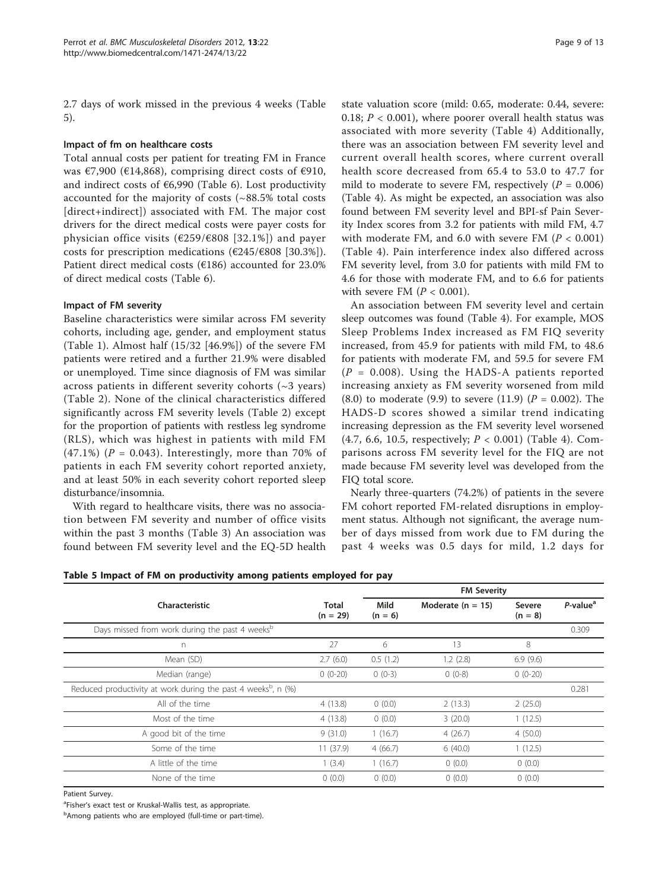<span id="page-8-0"></span>2.7 days of work missed in the previous 4 weeks (Table 5).

## Impact of fm on healthcare costs

Total annual costs per patient for treating FM in France was  $\epsilon$ 7,900 ( $\epsilon$ 14,868), comprising direct costs of  $\epsilon$ 910, and indirect costs of  $€6,990$  (Table [6\)](#page-9-0). Lost productivity accounted for the majority of costs (~88.5% total costs [direct+indirect]) associated with FM. The major cost drivers for the direct medical costs were payer costs for physician office visits (€259/€808 [32.1%]) and payer costs for prescription medications ( $\epsilon$ 245/ $\epsilon$ 808 [30.3%]). Patient direct medical costs ( $E186$ ) accounted for 23.0% of direct medical costs (Table [6\)](#page-9-0).

## Impact of FM severity

Baseline characteristics were similar across FM severity cohorts, including age, gender, and employment status (Table [1\)](#page-3-0). Almost half (15/32 [46.9%]) of the severe FM patients were retired and a further 21.9% were disabled or unemployed. Time since diagnosis of FM was similar across patients in different severity cohorts  $(\sim 3 \text{ years})$ (Table [2\)](#page-4-0). None of the clinical characteristics differed significantly across FM severity levels (Table [2\)](#page-4-0) except for the proportion of patients with restless leg syndrome (RLS), which was highest in patients with mild FM  $(47.1\%)$  (P = 0.043). Interestingly, more than 70% of patients in each FM severity cohort reported anxiety, and at least 50% in each severity cohort reported sleep disturbance/insomnia.

With regard to healthcare visits, there was no association between FM severity and number of office visits within the past 3 months (Table [3\)](#page-5-0) An association was found between FM severity level and the EQ-5D health state valuation score (mild: 0.65, moderate: 0.44, severe: 0.18;  $P < 0.001$ ), where poorer overall health status was associated with more severity (Table [4](#page-7-0)) Additionally, there was an association between FM severity level and current overall health scores, where current overall health score decreased from 65.4 to 53.0 to 47.7 for mild to moderate to severe FM, respectively ( $P = 0.006$ ) (Table [4](#page-7-0)). As might be expected, an association was also found between FM severity level and BPI-sf Pain Severity Index scores from 3.2 for patients with mild FM, 4.7 with moderate FM, and 6.0 with severe FM ( $P < 0.001$ ) (Table [4](#page-7-0)). Pain interference index also differed across FM severity level, from 3.0 for patients with mild FM to 4.6 for those with moderate FM, and to 6.6 for patients with severe FM  $(P < 0.001)$ .

An association between FM severity level and certain sleep outcomes was found (Table [4](#page-7-0)). For example, MOS Sleep Problems Index increased as FM FIQ severity increased, from 45.9 for patients with mild FM, to 48.6 for patients with moderate FM, and 59.5 for severe FM  $(P = 0.008)$ . Using the HADS-A patients reported increasing anxiety as FM severity worsened from mild  $(8.0)$  to moderate  $(9.9)$  to severe  $(11.9)$   $(P = 0.002)$ . The HADS-D scores showed a similar trend indicating increasing depression as the FM severity level worsened (4.7, 6.6, 10.5, respectively; P < 0.001) (Table [4\)](#page-7-0). Comparisons across FM severity level for the FIQ are not made because FM severity level was developed from the FIQ total score.

Nearly three-quarters (74.2%) of patients in the severe FM cohort reported FM-related disruptions in employment status. Although not significant, the average number of days missed from work due to FM during the past 4 weeks was 0.5 days for mild, 1.2 days for

| Table 5 Impact of FM on productivity among patients employed for pay |  |  |  |  |
|----------------------------------------------------------------------|--|--|--|--|
|----------------------------------------------------------------------|--|--|--|--|

|                                                                           |                     | <b>FM Severity</b> |                     |                     |                         |  |  |
|---------------------------------------------------------------------------|---------------------|--------------------|---------------------|---------------------|-------------------------|--|--|
| Characteristic                                                            | Total<br>$(n = 29)$ | Mild<br>$(n = 6)$  | Moderate $(n = 15)$ | Severe<br>$(n = 8)$ | $P$ -value <sup>a</sup> |  |  |
| Days missed from work during the past 4 weeks <sup>b</sup>                |                     |                    |                     |                     | 0.309                   |  |  |
| n                                                                         | 27                  | 6                  | 13                  | 8                   |                         |  |  |
| Mean (SD)                                                                 | 2.7(6.0)            | 0.5(1.2)           | 1.2(2.8)            | 6.9(9.6)            |                         |  |  |
| Median (range)                                                            | $0(0-20)$           | $0(0-3)$           | $0(0-8)$            | $0(0-20)$           |                         |  |  |
| Reduced productivity at work during the past 4 weeks <sup>b</sup> , n (%) |                     |                    |                     |                     | 0.281                   |  |  |
| All of the time                                                           | 4(13.8)             | 0(0.0)             | 2(13.3)             | 2(25.0)             |                         |  |  |
| Most of the time                                                          | 4(13.8)             | 0(0.0)             | 3(20.0)             | 1(12.5)             |                         |  |  |
| A good bit of the time                                                    | 9(31.0)             | 1(16.7)            | 4(26.7)             | 4(50.0)             |                         |  |  |
| Some of the time                                                          | 11(37.9)            | 4(66.7)            | 6(40.0)             | 1(12.5)             |                         |  |  |
| A little of the time                                                      | 1(3.4)              | 1(16.7)            | 0(0.0)              | 0(0.0)              |                         |  |  |
| None of the time                                                          | 0(0.0)              | 0(0.0)             | 0(0.0)              | 0(0.0)              |                         |  |  |

Patient Survey.

<sup>a</sup>Fisher's exact test or Kruskal-Wallis test, as appropriate.

<sup>b</sup>Among patients who are employed (full-time or part-time).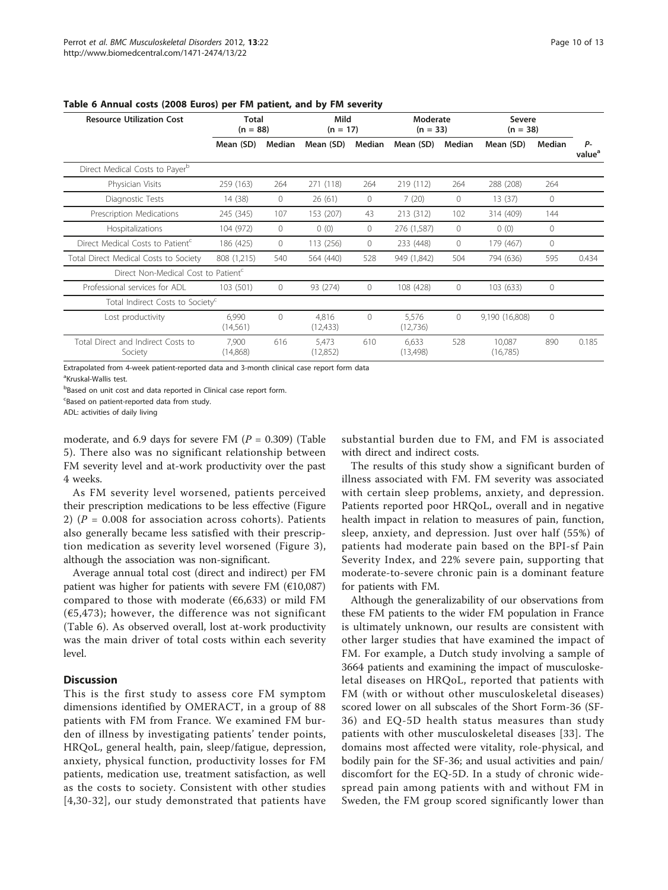| <b>Resource Utilization Cost</b>                | <b>Total</b><br>$(n = 88)$ |         | Mild<br>$(n = 17)$ |          | Moderate<br>$(n = 33)$ |              | <b>Severe</b><br>$(n = 38)$ |              |                          |
|-------------------------------------------------|----------------------------|---------|--------------------|----------|------------------------|--------------|-----------------------------|--------------|--------------------------|
|                                                 | Mean (SD)                  | Median  | Mean (SD)          | Median   | Mean (SD)              | Median       | Mean (SD)                   | Median       | P-<br>value <sup>a</sup> |
| Direct Medical Costs to Payer <sup>b</sup>      |                            |         |                    |          |                        |              |                             |              |                          |
| Physician Visits                                | 259 (163)                  | 264     | 271 (118)          | 264      | 219 (112)              | 264          | 288 (208)                   | 264          |                          |
| Diagnostic Tests                                | 14 (38)                    | $\circ$ | 26(61)             | 0        | 7(20)                  | $\mathbf{0}$ | 13(37)                      | $\circ$      |                          |
| Prescription Medications                        | 245 (345)                  | 107     | 153 (207)          | 43       | 213 (312)              | 102          | 314 (409)                   | 144          |                          |
| Hospitalizations                                | 104 (972)                  | 0       | 0(0)               | 0        | 276 (1,587)            | $\mathbf{0}$ | 0(0)                        | $\circ$      |                          |
| Direct Medical Costs to Patient <sup>c</sup>    | 186 (425)                  | 0       | 113 (256)          | $\circ$  | 233 (448)              | $\circ$      | 179 (467)                   | $\circ$      |                          |
| Total Direct Medical Costs to Society           | 808 (1,215)                | 540     | 564 (440)          | 528      | 949 (1,842)            | 504          | 794 (636)                   | 595          | 0.434                    |
| Direct Non-Medical Cost to Patient <sup>c</sup> |                            |         |                    |          |                        |              |                             |              |                          |
| Professional services for ADL                   | 103 (501)                  | 0       | 93 (274)           | 0        | 108 (428)              | $\mathbf{0}$ | 103 (633)                   | $\circ$      |                          |
| Total Indirect Costs to Society <sup>c</sup>    |                            |         |                    |          |                        |              |                             |              |                          |
| Lost productivity                               | 6.990<br>(14, 561)         | $\circ$ | 4,816<br>(12, 433) | $\Omega$ | 5,576<br>(12,736)      | $\mathbf{0}$ | 9,190 (16,808)              | $\mathbf{0}$ |                          |
| Total Direct and Indirect Costs to<br>Society   | 7.900<br>(14,868)          | 616     | 5,473<br>(12,852)  | 610      | 6,633<br>(13,498)      | 528          | 10,087<br>(16,785)          | 890          | 0.185                    |

<span id="page-9-0"></span>Table 6 Annual costs (2008 Euros) per FM patient, and by FM severity

Extrapolated from 4-week patient-reported data and 3-month clinical case report form data

<sup>a</sup>Kruskal-Wallis test.

**Based on unit cost and data reported in Clinical case report form.** 

<sup>c</sup>Based on patient-reported data from study.

ADL: activities of daily living

moderate, and 6.9 days for severe FM ( $P = 0.309$ ) (Table [5\)](#page-8-0). There also was no significant relationship between FM severity level and at-work productivity over the past 4 weeks.

As FM severity level worsened, patients perceived their prescription medications to be less effective (Figure [2\)](#page-6-0) ( $P = 0.008$  for association across cohorts). Patients also generally became less satisfied with their prescription medication as severity level worsened (Figure [3](#page-6-0)), although the association was non-significant.

Average annual total cost (direct and indirect) per FM patient was higher for patients with severe FM  $(€10,087)$ compared to those with moderate ( $66,633$ ) or mild FM  $(65, 473)$ ; however, the difference was not significant (Table 6). As observed overall, lost at-work productivity was the main driver of total costs within each severity level.

## **Discussion**

This is the first study to assess core FM symptom dimensions identified by OMERACT, in a group of 88 patients with FM from France. We examined FM burden of illness by investigating patients' tender points, HRQoL, general health, pain, sleep/fatigue, depression, anxiety, physical function, productivity losses for FM patients, medication use, treatment satisfaction, as well as the costs to society. Consistent with other studies [[4](#page-11-0),[30](#page-12-0)-[32\]](#page-12-0), our study demonstrated that patients have substantial burden due to FM, and FM is associated with direct and indirect costs.

The results of this study show a significant burden of illness associated with FM. FM severity was associated with certain sleep problems, anxiety, and depression. Patients reported poor HRQoL, overall and in negative health impact in relation to measures of pain, function, sleep, anxiety, and depression. Just over half (55%) of patients had moderate pain based on the BPI-sf Pain Severity Index, and 22% severe pain, supporting that moderate-to-severe chronic pain is a dominant feature for patients with FM.

Although the generalizability of our observations from these FM patients to the wider FM population in France is ultimately unknown, our results are consistent with other larger studies that have examined the impact of FM. For example, a Dutch study involving a sample of 3664 patients and examining the impact of musculoskeletal diseases on HRQoL, reported that patients with FM (with or without other musculoskeletal diseases) scored lower on all subscales of the Short Form-36 (SF-36) and EQ-5D health status measures than study patients with other musculoskeletal diseases [[33\]](#page-12-0). The domains most affected were vitality, role-physical, and bodily pain for the SF-36; and usual activities and pain/ discomfort for the EQ-5D. In a study of chronic widespread pain among patients with and without FM in Sweden, the FM group scored significantly lower than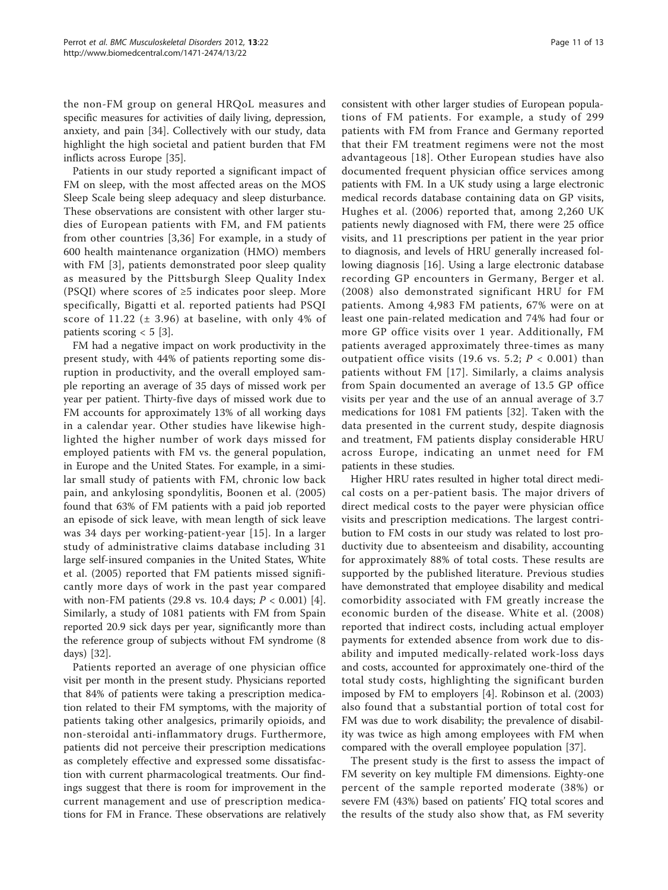the non-FM group on general HRQoL measures and specific measures for activities of daily living, depression, anxiety, and pain [\[34](#page-12-0)]. Collectively with our study, data highlight the high societal and patient burden that FM inflicts across Europe [[35\]](#page-12-0).

Patients in our study reported a significant impact of FM on sleep, with the most affected areas on the MOS Sleep Scale being sleep adequacy and sleep disturbance. These observations are consistent with other larger studies of European patients with FM, and FM patients from other countries [[3](#page-11-0)[,36\]](#page-12-0) For example, in a study of 600 health maintenance organization (HMO) members with FM [\[3](#page-11-0)], patients demonstrated poor sleep quality as measured by the Pittsburgh Sleep Quality Index (PSQI) where scores of  $\geq$ 5 indicates poor sleep. More specifically, Bigatti et al. reported patients had PSQI score of 11.22  $(\pm 3.96)$  at baseline, with only 4% of patients scoring  $< 5$  [\[3](#page-11-0)].

FM had a negative impact on work productivity in the present study, with 44% of patients reporting some disruption in productivity, and the overall employed sample reporting an average of 35 days of missed work per year per patient. Thirty-five days of missed work due to FM accounts for approximately 13% of all working days in a calendar year. Other studies have likewise highlighted the higher number of work days missed for employed patients with FM vs. the general population, in Europe and the United States. For example, in a similar small study of patients with FM, chronic low back pain, and ankylosing spondylitis, Boonen et al. (2005) found that 63% of FM patients with a paid job reported an episode of sick leave, with mean length of sick leave was 34 days per working-patient-year [[15](#page-12-0)]. In a larger study of administrative claims database including 31 large self-insured companies in the United States, White et al. (2005) reported that FM patients missed significantly more days of work in the past year compared with non-FM patients (29.8 vs. 10.4 days;  $P < 0.001$ ) [\[4](#page-11-0)]. Similarly, a study of 1081 patients with FM from Spain reported 20.9 sick days per year, significantly more than the reference group of subjects without FM syndrome (8 days) [[32\]](#page-12-0).

Patients reported an average of one physician office visit per month in the present study. Physicians reported that 84% of patients were taking a prescription medication related to their FM symptoms, with the majority of patients taking other analgesics, primarily opioids, and non-steroidal anti-inflammatory drugs. Furthermore, patients did not perceive their prescription medications as completely effective and expressed some dissatisfaction with current pharmacological treatments. Our findings suggest that there is room for improvement in the current management and use of prescription medications for FM in France. These observations are relatively

consistent with other larger studies of European populations of FM patients. For example, a study of 299 patients with FM from France and Germany reported that their FM treatment regimens were not the most advantageous [[18\]](#page-12-0). Other European studies have also documented frequent physician office services among patients with FM. In a UK study using a large electronic medical records database containing data on GP visits, Hughes et al. (2006) reported that, among 2,260 UK patients newly diagnosed with FM, there were 25 office visits, and 11 prescriptions per patient in the year prior to diagnosis, and levels of HRU generally increased following diagnosis [[16\]](#page-12-0). Using a large electronic database recording GP encounters in Germany, Berger et al. (2008) also demonstrated significant HRU for FM patients. Among 4,983 FM patients, 67% were on at least one pain-related medication and 74% had four or more GP office visits over 1 year. Additionally, FM patients averaged approximately three-times as many outpatient office visits (19.6 vs. 5.2;  $P < 0.001$ ) than patients without FM [[17\]](#page-12-0). Similarly, a claims analysis from Spain documented an average of 13.5 GP office visits per year and the use of an annual average of 3.7 medications for 1081 FM patients [[32](#page-12-0)]. Taken with the data presented in the current study, despite diagnosis and treatment, FM patients display considerable HRU across Europe, indicating an unmet need for FM patients in these studies.

Higher HRU rates resulted in higher total direct medical costs on a per-patient basis. The major drivers of direct medical costs to the payer were physician office visits and prescription medications. The largest contribution to FM costs in our study was related to lost productivity due to absenteeism and disability, accounting for approximately 88% of total costs. These results are supported by the published literature. Previous studies have demonstrated that employee disability and medical comorbidity associated with FM greatly increase the economic burden of the disease. White et al. (2008) reported that indirect costs, including actual employer payments for extended absence from work due to disability and imputed medically-related work-loss days and costs, accounted for approximately one-third of the total study costs, highlighting the significant burden imposed by FM to employers [\[4](#page-11-0)]. Robinson et al. (2003) also found that a substantial portion of total cost for FM was due to work disability; the prevalence of disability was twice as high among employees with FM when compared with the overall employee population [[37](#page-12-0)].

The present study is the first to assess the impact of FM severity on key multiple FM dimensions. Eighty-one percent of the sample reported moderate (38%) or severe FM (43%) based on patients' FIQ total scores and the results of the study also show that, as FM severity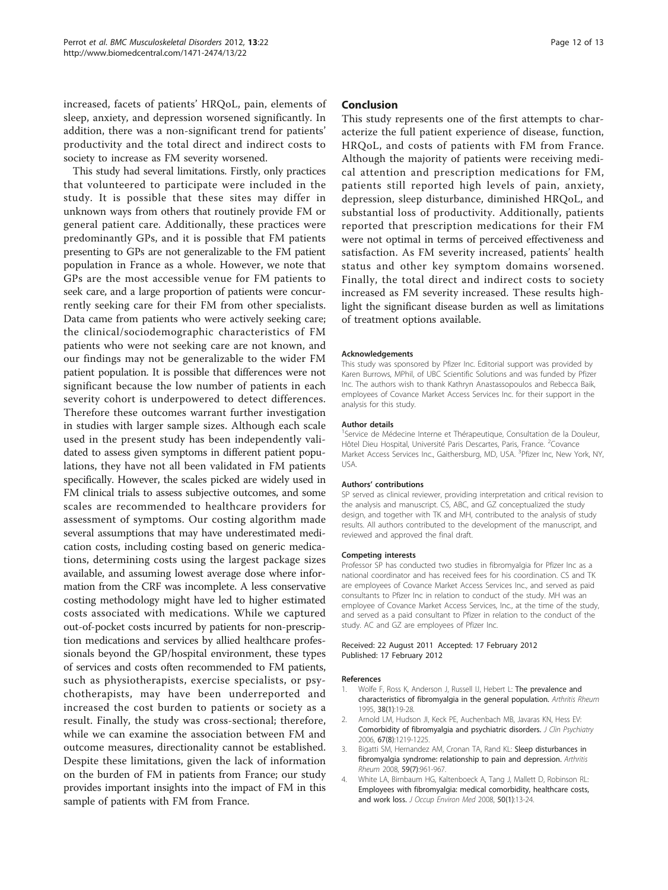<span id="page-11-0"></span>increased, facets of patients' HRQoL, pain, elements of sleep, anxiety, and depression worsened significantly. In addition, there was a non-significant trend for patients' productivity and the total direct and indirect costs to society to increase as FM severity worsened.

This study had several limitations. Firstly, only practices that volunteered to participate were included in the study. It is possible that these sites may differ in unknown ways from others that routinely provide FM or general patient care. Additionally, these practices were predominantly GPs, and it is possible that FM patients presenting to GPs are not generalizable to the FM patient population in France as a whole. However, we note that GPs are the most accessible venue for FM patients to seek care, and a large proportion of patients were concurrently seeking care for their FM from other specialists. Data came from patients who were actively seeking care; the clinical/sociodemographic characteristics of FM patients who were not seeking care are not known, and our findings may not be generalizable to the wider FM patient population. It is possible that differences were not significant because the low number of patients in each severity cohort is underpowered to detect differences. Therefore these outcomes warrant further investigation in studies with larger sample sizes. Although each scale used in the present study has been independently validated to assess given symptoms in different patient populations, they have not all been validated in FM patients specifically. However, the scales picked are widely used in FM clinical trials to assess subjective outcomes, and some scales are recommended to healthcare providers for assessment of symptoms. Our costing algorithm made several assumptions that may have underestimated medication costs, including costing based on generic medications, determining costs using the largest package sizes available, and assuming lowest average dose where information from the CRF was incomplete. A less conservative costing methodology might have led to higher estimated costs associated with medications. While we captured out-of-pocket costs incurred by patients for non-prescription medications and services by allied healthcare professionals beyond the GP/hospital environment, these types of services and costs often recommended to FM patients, such as physiotherapists, exercise specialists, or psychotherapists, may have been underreported and increased the cost burden to patients or society as a result. Finally, the study was cross-sectional; therefore, while we can examine the association between FM and outcome measures, directionality cannot be established. Despite these limitations, given the lack of information on the burden of FM in patients from France; our study provides important insights into the impact of FM in this sample of patients with FM from France.

## Conclusion

This study represents one of the first attempts to characterize the full patient experience of disease, function, HRQoL, and costs of patients with FM from France. Although the majority of patients were receiving medical attention and prescription medications for FM, patients still reported high levels of pain, anxiety, depression, sleep disturbance, diminished HRQoL, and substantial loss of productivity. Additionally, patients reported that prescription medications for their FM were not optimal in terms of perceived effectiveness and satisfaction. As FM severity increased, patients' health status and other key symptom domains worsened. Finally, the total direct and indirect costs to society increased as FM severity increased. These results highlight the significant disease burden as well as limitations of treatment options available.

#### Acknowledgements

This study was sponsored by Pfizer Inc. Editorial support was provided by Karen Burrows, MPhil, of UBC Scientific Solutions and was funded by Pfizer Inc. The authors wish to thank Kathryn Anastassopoulos and Rebecca Baik, employees of Covance Market Access Services Inc. for their support in the analysis for this study.

#### Author details

<sup>1</sup>Service de Médecine Interne et Thérapeutique, Consultation de la Douleur Hôtel Dieu Hospital, Université Paris Descartes, Paris, France. <sup>2</sup>Covance Market Access Services Inc., Gaithersburg, MD, USA. <sup>3</sup>Pfizer Inc, New York, NY USA.

#### Authors' contributions

SP served as clinical reviewer, providing interpretation and critical revision to the analysis and manuscript. CS, ABC, and GZ conceptualized the study design, and together with TK and MH, contributed to the analysis of study results. All authors contributed to the development of the manuscript, and reviewed and approved the final draft.

#### Competing interests

Professor SP has conducted two studies in fibromyalgia for Pfizer Inc as a national coordinator and has received fees for his coordination. CS and TK are employees of Covance Market Access Services Inc., and served as paid consultants to Pfizer Inc in relation to conduct of the study. MH was an employee of Covance Market Access Services, Inc., at the time of the study, and served as a paid consultant to Pfizer in relation to the conduct of the study. AC and GZ are employees of Pfizer Inc.

#### Received: 22 August 2011 Accepted: 17 February 2012 Published: 17 February 2012

#### References

- 1. Wolfe F, Ross K, Anderson J, Russell IJ, Hebert L: [The prevalence and](http://www.ncbi.nlm.nih.gov/pubmed/7818567?dopt=Abstract) [characteristics of fibromyalgia in the general population.](http://www.ncbi.nlm.nih.gov/pubmed/7818567?dopt=Abstract) Arthritis Rheum 1995, 38(1):19-28.
- 2. Arnold LM, Hudson JI, Keck PE, Auchenbach MB, Javaras KN, Hess EV: [Comorbidity of fibromyalgia and psychiatric disorders.](http://www.ncbi.nlm.nih.gov/pubmed/16965199?dopt=Abstract) J Clin Psychiatry 2006, 67(8):1219-1225.
- 3. Bigatti SM, Hernandez AM, Cronan TA, Rand KL: [Sleep disturbances in](http://www.ncbi.nlm.nih.gov/pubmed/18576297?dopt=Abstract) [fibromyalgia syndrome: relationship to pain and depression.](http://www.ncbi.nlm.nih.gov/pubmed/18576297?dopt=Abstract) Arthritis Rheum 2008, 59(7):961-967.
- 4. White LA, Birnbaum HG, Kaltenboeck A, Tang J, Mallett D, Robinson RL: [Employees with fibromyalgia: medical comorbidity, healthcare costs,](http://www.ncbi.nlm.nih.gov/pubmed/18188077?dopt=Abstract) [and work loss.](http://www.ncbi.nlm.nih.gov/pubmed/18188077?dopt=Abstract) J Occup Environ Med 2008, 50(1):13-24.